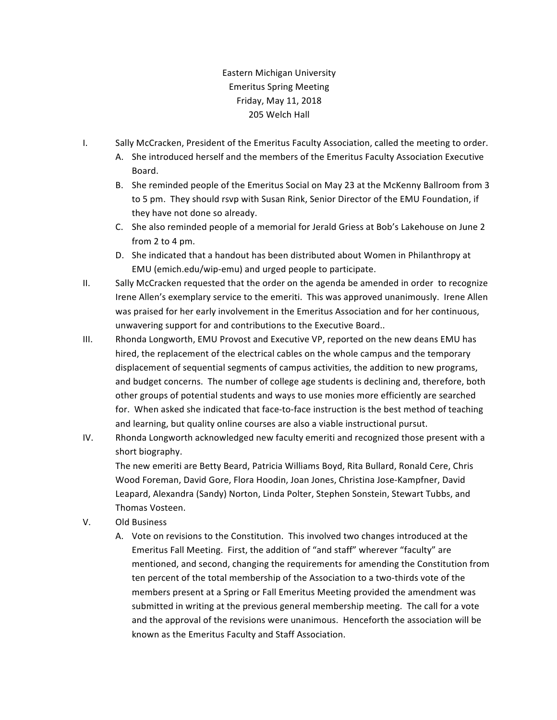## Eastern Michigan University Emeritus Spring Meeting Friday, May 11, 2018 205 Welch Hall

- I. Sally McCracken, President of the Emeritus Faculty Association, called the meeting to order.
	- A. She introduced herself and the members of the Emeritus Faculty Association Executive Board.
	- B. She reminded people of the Emeritus Social on May 23 at the McKenny Ballroom from 3 to 5 pm. They should rsvp with Susan Rink, Senior Director of the EMU Foundation, if they have not done so already.
	- C. She also reminded people of a memorial for Jerald Griess at Bob's Lakehouse on June 2 from 2 to 4 pm.
	- D. She indicated that a handout has been distributed about Women in Philanthropy at EMU (emich.edu/wip-emu) and urged people to participate.
- II. Sally McCracken requested that the order on the agenda be amended in order to recognize Irene Allen's exemplary service to the emeriti. This was approved unanimously. Irene Allen was praised for her early involvement in the Emeritus Association and for her continuous, unwavering support for and contributions to the Executive Board..
- III. Rhonda Longworth, EMU Provost and Executive VP, reported on the new deans EMU has hired, the replacement of the electrical cables on the whole campus and the temporary displacement of sequential segments of campus activities, the addition to new programs, and budget concerns. The number of college age students is declining and, therefore, both other groups of potential students and ways to use monies more efficiently are searched for. When asked she indicated that face-to-face instruction is the best method of teaching and learning, but quality online courses are also a viable instructional pursut.
- IV. Rhonda Longworth acknowledged new faculty emeriti and recognized those present with a short biography.

The new emeriti are Betty Beard, Patricia Williams Boyd, Rita Bullard, Ronald Cere, Chris Wood Foreman, David Gore, Flora Hoodin, Joan Jones, Christina Jose-Kampfner, David Leapard, Alexandra (Sandy) Norton, Linda Polter, Stephen Sonstein, Stewart Tubbs, and Thomas Vosteen. 

- V. Old Business
	- A. Vote on revisions to the Constitution. This involved two changes introduced at the Emeritus Fall Meeting. First, the addition of "and staff" wherever "faculty" are mentioned, and second, changing the requirements for amending the Constitution from ten percent of the total membership of the Association to a two-thirds vote of the members present at a Spring or Fall Emeritus Meeting provided the amendment was submitted in writing at the previous general membership meeting. The call for a vote and the approval of the revisions were unanimous. Henceforth the association will be known as the Emeritus Faculty and Staff Association.